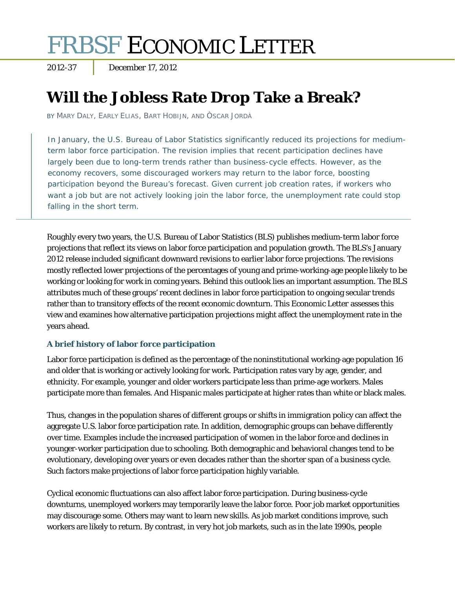# FRBSF ECONOMIC LETTER

2012-37 December 17, 2012

## **Will the Jobless Rate Drop Take a Break?**

BY MARY DALY, EARLY ELIAS, BART HOBIJN, AND ÒSCAR JORDÀ

In January, the U.S. Bureau of Labor Statistics significantly reduced its projections for mediumterm labor force participation. The revision implies that recent participation declines have largely been due to long-term trends rather than business-cycle effects. However, as the economy recovers, some discouraged workers may return to the labor force, boosting participation beyond the Bureau's forecast. Given current job creation rates, if workers who want a job but are not actively looking join the labor force, the unemployment rate could stop falling in the short term.

Roughly every two years, the U.S. Bureau of Labor Statistics (BLS) publishes medium-term labor force projections that reflect its views on labor force participation and population growth. The BLS's January 2012 release included significant downward revisions to earlier labor force projections. The revisions mostly reflected lower projections of the percentages of young and prime-working-age people likely to be working or looking for work in coming years. Behind this outlook lies an important assumption. The BLS attributes much of these groups' recent declines in labor force participation to ongoing secular trends rather than to transitory effects of the recent economic downturn. This *Economic Letter* assesses this view and examines how alternative participation projections might affect the unemployment rate in the years ahead.

### **A brief history of labor force participation**

Labor force participation is defined as the percentage of the noninstitutional working-age population 16 and older that is working or actively looking for work. Participation rates vary by age, gender, and ethnicity. For example, younger and older workers participate less than prime-age workers. Males participate more than females. And Hispanic males participate at higher rates than white or black males.

Thus, changes in the population shares of different groups or shifts in immigration policy can affect the aggregate U.S. labor force participation rate. In addition, demographic groups can behave differently over time. Examples include the increased participation of women in the labor force and declines in younger-worker participation due to schooling. Both demographic and behavioral changes tend to be evolutionary, developing over years or even decades rather than the shorter span of a business cycle. Such factors make projections of labor force participation highly variable.

Cyclical economic fluctuations can also affect labor force participation. During business-cycle downturns, unemployed workers may temporarily leave the labor force. Poor job market opportunities may discourage some. Others may want to learn new skills. As job market conditions improve, such workers are likely to return. By contrast, in very hot job markets, such as in the late 1990s, people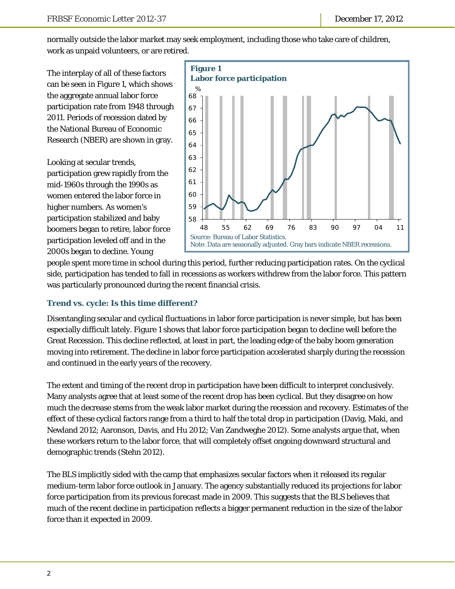normally outside the labor market may seek employment, including those who take care of children, work as unpaid volunteers, or are retired.

The interplay of all of these factors can be seen in Figure 1, which shows the aggregate annual labor force participation rate from 1948 through 2011. Periods of recession dated by the National Bureau of Economic Research (NBER) are shown in gray.

Looking at secular trends, participation grew rapidly from the mid-1960s through the 1990s as women entered the labor force in higher numbers. As women's participation stabilized and baby boomers began to retire, labor force participation leveled off and in the 2000s began to decline. Young



people spent more time in school during this period, further reducing participation rates. On the cyclical side, participation has tended to fall in recessions as workers withdrew from the labor force. This pattern was particularly pronounced during the recent financial crisis.

### **Trend vs. cycle: Is this time different?**

Disentangling secular and cyclical fluctuations in labor force participation is never simple, but has been especially difficult lately. Figure 1 shows that labor force participation began to decline well before the Great Recession. This decline reflected, at least in part, the leading edge of the baby boom generation moving into retirement. The decline in labor force participation accelerated sharply during the recession and continued in the early years of the recovery.

The extent and timing of the recent drop in participation have been difficult to interpret conclusively. Many analysts agree that at least some of the recent drop has been cyclical. But they disagree on how much the decrease stems from the weak labor market during the recession and recovery. Estimates of the effect of these cyclical factors range from a third to half the total drop in participation (Davig, Maki, and Newland 2012; Aaronson, Davis, and Hu 2012; Van Zandweghe 2012). Some analysts argue that, when these workers return to the labor force, that will completely offset ongoing downward structural and demographic trends (Stehn 2012).

The BLS implicitly sided with the camp that emphasizes secular factors when it released its regular medium-term labor force outlook in January. The agency substantially reduced its projections for labor force participation from its previous forecast made in 2009. This suggests that the BLS believes that much of the recent decline in participation reflects a bigger permanent reduction in the size of the labor force than it expected in 2009.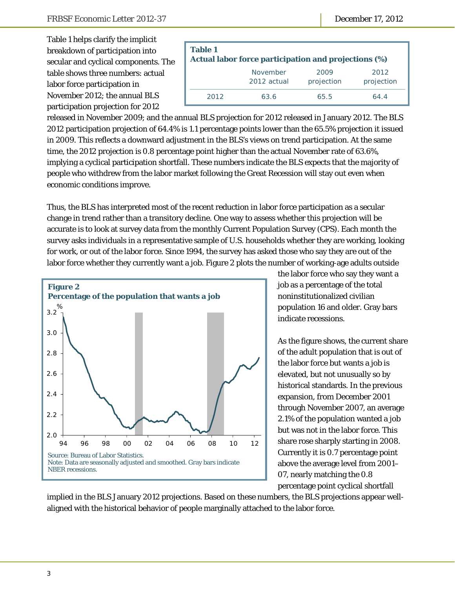Table 1 helps clarify the implicit breakdown of participation into secular and cyclical components. The table shows three numbers: actual labor force participation in November 2012; the annual BLS participation projection for 2012

| <b>Table 1</b><br>Actual labor force participation and projections (%) |                         |                    |                    |  |
|------------------------------------------------------------------------|-------------------------|--------------------|--------------------|--|
|                                                                        | November<br>2012 actual | 2009<br>projection | 2012<br>projection |  |
| 2012                                                                   | 63.6                    | 65.5               | 64.4               |  |

released in November 2009; and the annual BLS projection for 2012 released in January 2012. The BLS 2012 participation projection of 64.4% is 1.1 percentage points lower than the 65.5% projection it issued in 2009. This reflects a downward adjustment in the BLS's views on trend participation. At the same time, the 2012 projection is 0.8 percentage point higher than the actual November rate of 63.6%, implying a cyclical participation shortfall. These numbers indicate the BLS expects that the majority of people who withdrew from the labor market following the Great Recession will stay out even when economic conditions improve.

Thus, the BLS has interpreted most of the recent reduction in labor force participation as a secular change in trend rather than a transitory decline. One way to assess whether this projection will be accurate is to look at survey data from the monthly Current Population Survey (CPS). Each month the survey asks individuals in a representative sample of U.S. households whether they are working, looking for work, or out of the labor force. Since 1994, the survey has asked those who say they are out of the labor force whether they currently want a job. Figure 2 plots the number of working-age adults outside



the labor force who say they want a job as a percentage of the total noninstitutionalized civilian population 16 and older. Gray bars indicate recessions.

As the figure shows, the current share of the adult population that is out of the labor force but wants a job is elevated, but not unusually so by historical standards. In the previous expansion, from December 2001 through November 2007, an average 2.1% of the population wanted a job but was not in the labor force. This share rose sharply starting in 2008. Currently it is 0.7 percentage point above the average level from 2001– 07, nearly matching the 0.8 percentage point cyclical shortfall

implied in the BLS January 2012 projections. Based on these numbers, the BLS projections appear wellaligned with the historical behavior of people marginally attached to the labor force.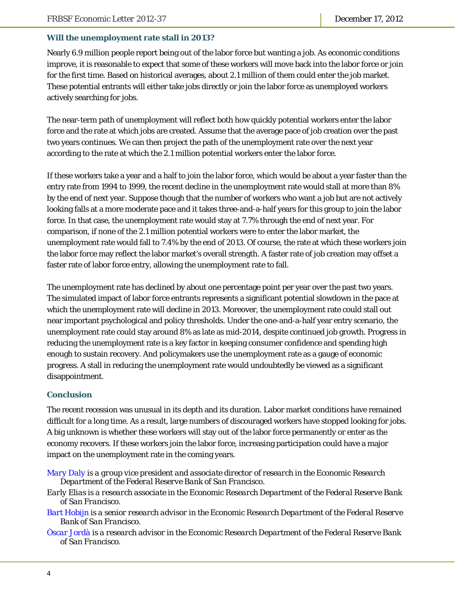#### **Will the unemployment rate stall in 2013?**

Nearly 6.9 million people report being out of the labor force but wanting a job. As economic conditions improve, it is reasonable to expect that some of these workers will move back into the labor force or join for the first time. Based on historical averages, about 2.1 million of them could enter the job market. These potential entrants will either take jobs directly or join the labor force as unemployed workers actively searching for jobs.

The near-term path of unemployment will reflect both how quickly potential workers enter the labor force and the rate at which jobs are created. Assume that the average pace of job creation over the past two years continues. We can then project the path of the unemployment rate over the next year according to the rate at which the 2.1 million potential workers enter the labor force.

If these workers take a year and a half to join the labor force, which would be about a year faster than the entry rate from 1994 to 1999, the recent decline in the unemployment rate would stall at more than 8% by the end of next year. Suppose though that the number of workers who want a job but are not actively looking falls at a more moderate pace and it takes three-and-a-half years for this group to join the labor force. In that case, the unemployment rate would stay at 7.7% through the end of next year. For comparison, if none of the 2.1 million potential workers were to enter the labor market, the unemployment rate would fall to 7.4% by the end of 2013. Of course, the rate at which these workers join the labor force may reflect the labor market's overall strength. A faster rate of job creation may offset a faster rate of labor force entry, allowing the unemployment rate to fall.

The unemployment rate has declined by about one percentage point per year over the past two years. The simulated impact of labor force entrants represents a significant potential slowdown in the pace at which the unemployment rate will decline in 2013. Moreover, the unemployment rate could stall out near important psychological and policy thresholds. Under the one-and-a-half year entry scenario, the unemployment rate could stay around 8% as late as mid-2014, despite continued job growth. Progress in reducing the unemployment rate is a key factor in keeping consumer confidence and spending high enough to sustain recovery. And policymakers use the unemployment rate as a gauge of economic progress. A stall in reducing the unemployment rate would undoubtedly be viewed as a significant disappointment.

#### **Conclusion**

The recent recession was unusual in its depth and its duration. Labor market conditions have remained difficult for a long time. As a result, large numbers of discouraged workers have stopped looking for jobs. A big unknown is whether these workers will stay out of the labor force permanently or enter as the economy recovers. If these workers join the labor force, increasing participation could have a major impact on the unemployment rate in the coming years.

- *Early Elias is a research associate in the Economic Research Department of the Federal Reserve Bank of San Francisco.*
- *[Bart Hobijn is](http://www.frbsf.org/economics/economists/staff.php?bhobijn) a senior research advisor in the Economic Research Department of the Federal Reserve Bank of San Francisco.*
- *[Òscar Jordà is](http://www.frbsf.org/economics/economists/staff.php?ojorda) a research advisor in the Economic Research Department of the Federal Reserve Bank of San Francisco.*

*[Mary Daly is](http://www.frbsf.org/economics/economists/staff.php?mdaly) a group vice president and associate director of research in the Economic Research Department of the Federal Reserve Bank of San Francisco.*